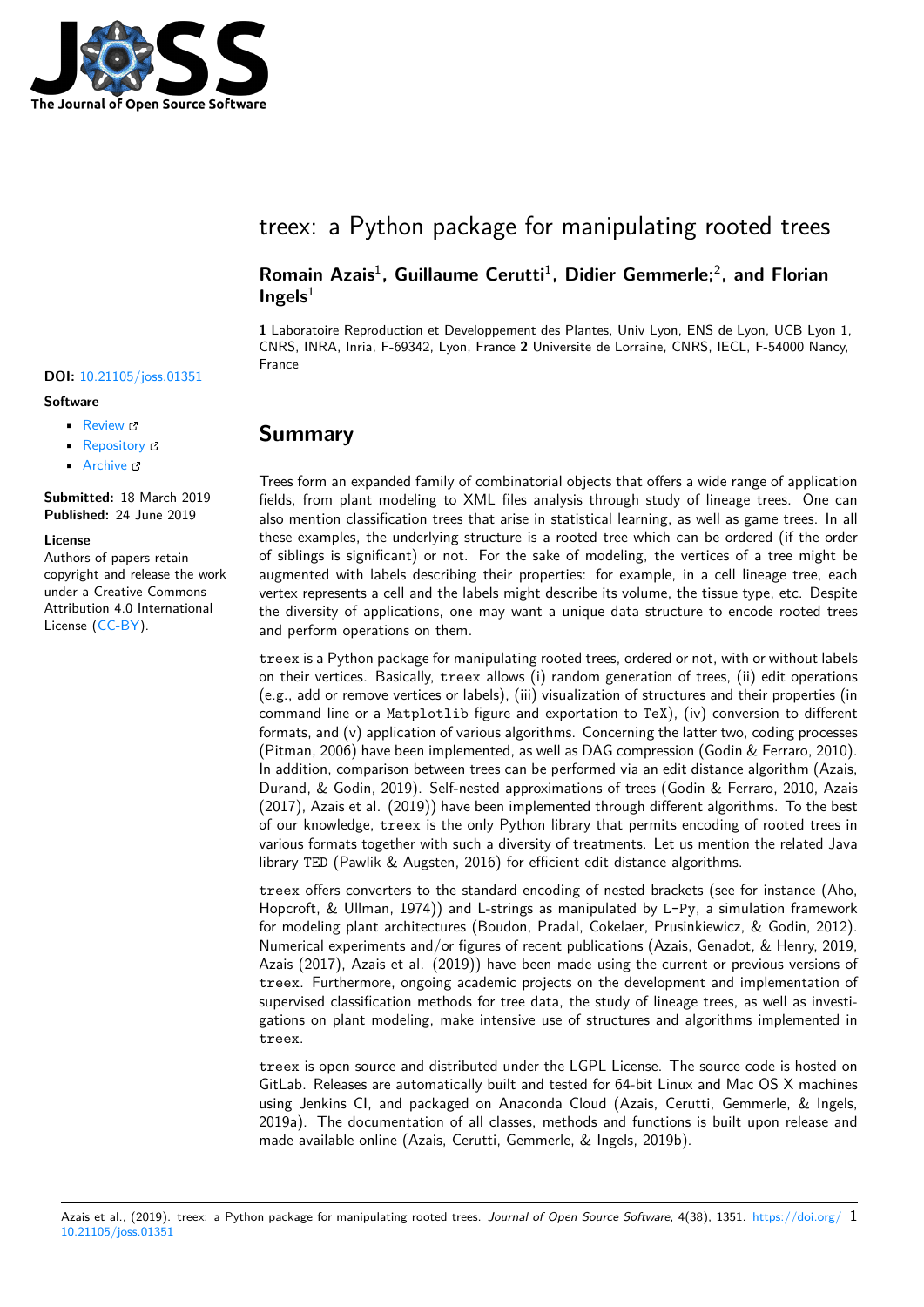

# treex: a Python package for manipulating rooted trees

### Romain Azais<sup>1</sup>, Guillaume Cerutti<sup>1</sup>, Didier Gemmerle;<sup>2</sup>, and Florian  $Ingels<sup>1</sup>$

**1** Laboratoire Reproduction et Developpement des Plantes, Univ Lyon, ENS de Lyon, UCB Lyon 1, CNRS, INRA, Inria, F-69342, Lyon, France **2** Universite de Lorraine, CNRS, IECL, F-54000 Nancy, France

### **Summary**

Trees form an expanded family of combinatorial objects that offers a wide range of application fields, from plant modeling to XML files analysis through study of lineage trees. One can also mention classification trees that arise in statistical learning, as well as game trees. In all these examples, the underlying structure is a rooted tree which can be ordered (if the order of siblings is significant) or not. For the sake of modeling, the vertices of a tree might be augmented with labels describing their properties: for example, in a cell lineage tree, each vertex represents a cell and the labels might describe its volume, the tissue type, etc. Despite the diversity of applications, one may want a unique data structure to encode rooted trees and perform operations on them.

treex is a Python package for manipulating rooted trees, ordered or not, with or without labels on their vertices. Basically, treex allows (i) random generation of trees, (ii) edit operations (e.g., add or remove vertices or labels), (iii) visualization of structures and their properties (in command line or a Matplotlib figure and exportation to TeX), (iv) conversion to different formats, and (v) application of various algorithms. Concerning the latter two, coding processes (Pitman, 2006) have been implemented, as well as DAG compression (Godin & Ferraro, 2010). In addition, comparison between trees can be performed via an edit distance algorithm (Azais, Durand, & Godin, 2019). Self-nested approximations of trees (Godin & Ferraro, 2010, Azais (2017), Azais et al. (2019)) have been implemented through different algorithms. To the best of our knowledge, treex is the only Python library that permits encoding of rooted trees in various formats together with such a diversity of treatments. Let us mention the related Java library TED (Pawlik & Augsten, 2016) for efficient edit distance algorithms.

treex offers converters to the standard encoding of nested brackets (see for instance (Aho, Hopcroft, & Ullman, 1974)) and L-strings as manipulated by L-Py, a simulation framework for modeling plant architectures (Boudon, Pradal, Cokelaer, Prusinkiewicz, & Godin, 2012). Numerical experiments and/or figures of recent publications (Azais, Genadot, & Henry, 2019, Azais (2017), Azais et al. (2019)) have been made using the current or previous versions of treex. Furthermore, ongoing academic projects on the development and implementation of supervised classification methods for tree data, the study of lineage trees, as well as investigations on plant modeling, make intensive use of structures and algorithms implemented in treex.

treex is open source and distributed under the LGPL License. The source code is hosted on GitLab. Releases are automatically built and tested for 64-bit Linux and Mac OS X machines using Jenkins CI, and packaged on Anaconda Cloud (Azais, Cerutti, Gemmerle, & Ingels, 2019a). The documentation of all classes, methods and functions is built upon release and made available online (Azais, Cerutti, Gemmerle, & Ingels, 2019b).

#### Azais et al., (2019). treex: a Python package for manipulating rooted trees. *Journal of Open Source Software*, 4(38), 1351. https://doi.org/ 110.21105/joss.01351

### **DOI:** 10.21105/joss.01351

#### **Software**

- Review C
- [Repository](https://doi.org/10.21105/joss.01351) &
- Archive

**Subm[itted:](https://github.com/openjournals/joss-reviews/issues/1351)** 18 March 2019 **Published:** [24 Ju](https://gitlab.inria.fr/azais/treex)ne 2019

#### **Licen[se](https://doi.org/10.5281/zenodo.3254416)**

Authors of papers retain copyright and release the work under a Creative Commons Attribution 4.0 International License (CC-BY).